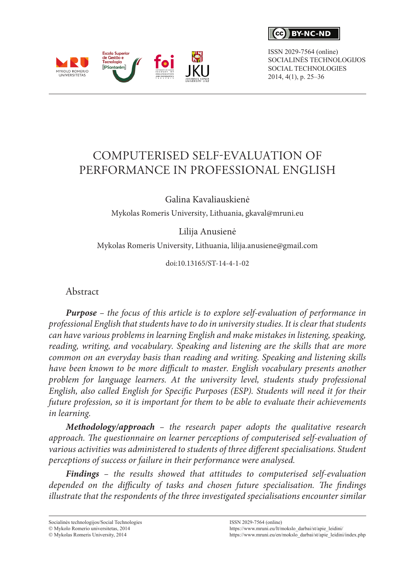$\epsilon$ **RY-NC-ND** 

ISSN 2029-7564 (online) SOCIALINĖS TECHNOLOGIJOS SOCIAL TECHNOLOGIES 2014, 4(1), p. 25–36



# COMPUTERISED SELF-EVALUATION OF PERFORMANCE IN PROFESSIONAL ENGLISH

Galina Kavaliauskienė

Mykolas Romeris University, Lithuania, [gkaval@mruni.eu](mailto:gkaval@mruni.eu)

Lilija Anusienė

Mykolas Romeris University, Lithuania, lilija.anusiene@gmail.com

doi:10.13165/ST-14-4-1-02

Abstract

*Purpose – the focus of this article is to explore self-evaluation of performance in professional English that students have to do in university studies. It is clear that students can have various problems in learning English and make mistakes in listening, speaking, reading, writing, and vocabulary. Speaking and listening are the skills that are more common on an everyday basis than reading and writing. Speaking and listening skills*  have been known to be more difficult to master. English vocabulary presents another *problem for language learners. At the university level, students study professional English, also called English for Specific Purposes (ESP). Students will need it for their future profession, so it is important for them to be able to evaluate their achievements in learning.* 

*Methodology/approach – the research paper adopts the qualitative research approach. The questionnaire on learner perceptions of computerised self-evaluation of various activities was administered to students of three different specialisations. Student perceptions of success or failure in their performance were analysed.*

*Findings – the results showed that attitudes to computerised self-evaluation depended on the difficulty of tasks and chosen future specialisation. The findings illustrate that the respondents of the three investigated specialisations encounter similar* 

Socialinės technologijos/Social Technologies

 $@$  Mykolo Romerio universitetas, 2014

 $\odot$  Mykolas Romeris University, 2014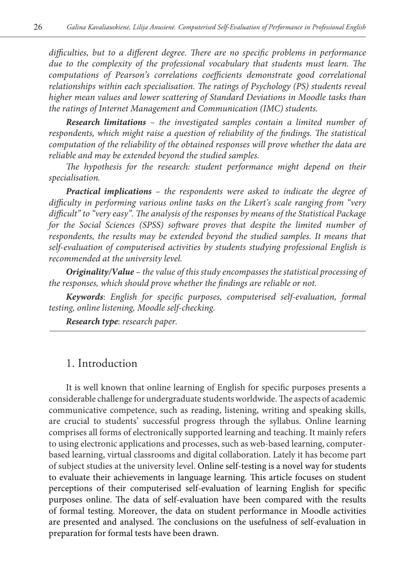*difficulties, but to a different degree. There are no specific problems in performance due to the complexity of the professional vocabulary that students must learn. The computations of Pearson's correlations coefficients demonstrate good correlational relationships within each specialisation. The ratings of Psychology (PS) students reveal higher mean values and lower scattering of Standard Deviations in Moodle tasks than the ratings of Internet Management and Communication (IMC) students.*

*Research limitations – the investigated samples contain a limited number of respondents, which might raise a question of reliability of the findings. The statistical computation of the reliability of the obtained responses will prove whether the data are reliable and may be extended beyond the studied samples.* 

*The hypothesis for the research: student performance might depend on their specialisation.* 

*Practical implications – the respondents were asked to indicate the degree of difficulty in performing various online tasks on the Likert's scale ranging from "very difficult" to "very easy". The analysis of the responses by means of the Statistical Package for the Social Sciences (SPSS) software proves that despite the limited number of*  respondents, the results may be extended beyond the studied samples. It means that *self-evaluation of computerised activities by students studying professional English is recommended at the university level.*

*Originality/Value – the value of this study encompasses the statistical processing of the responses, which should prove whether the findings are reliable or not.*

*Keywords*: *English for specific purposes, computerised self-evaluation, formal testing, online listening, Moodle self-checking.*

*Research type*: *research paper.*

#### 1. Introduction

It is well known that online learning of English for specific purposes presents a considerable challenge for undergraduate students worldwide. The aspects of academic communicative competence, such as reading, listening, writing and speaking skills, are crucial to students' successful progress through the syllabus. Online learning comprises all forms of electronically supported learning and teaching. It mainly refers to using electronic applications and processes, such as web-based learning, computerbased learning, virtual classrooms and digital collaboration. Lately it has become part of subject studies at the university level. Online self-testing is a novel way for students to evaluate their achievements in language learning. This article focuses on student perceptions of their computerised self-evaluation of learning English for specific purposes online. The data of self-evaluation have been compared with the results of formal testing. Moreover, the data on student performance in Moodle activities are presented and analysed. The conclusions on the usefulness of self-evaluation in preparation for formal tests have been drawn.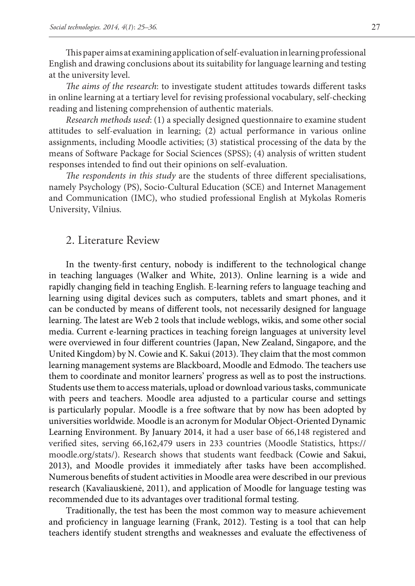This paper aims at examining application of self-evaluation in learning professional English and drawing conclusions about its suitability for language learning and testing at the university level.

*The aims of the research*: to investigate student attitudes towards different tasks in online learning at a tertiary level for revising professional vocabulary, self-checking reading and listening comprehension of authentic materials.

*Research methods used*: (1) a specially designed questionnaire to examine student attitudes to self-evaluation in learning; (2) actual performance in various online assignments, including Moodle activities; (3) statistical processing of the data by the means of Software Package for Social Sciences (SPSS); (4) analysis of written student responses intended to find out their opinions on self-evaluation.

*The respondents in this study* are the students of three different specialisations, namely Psychology (PS), Socio-Cultural Education (SCE) and Internet Management and Communication (IMC), who studied professional English at Mykolas Romeris University, Vilnius.

#### 2. Literature Review

In the twenty-first century, nobody is indifferent to the technological change in teaching languages (Walker and White, 2013). Online learning is a wide and rapidly changing field in teaching English. E-learning refers to language teaching and learning using digital devices such as computers, tablets and smart phones, and it can be conducted by means of different tools, not necessarily designed for language learning. The latest are Web 2 tools that include weblogs, wikis, and some other social media. Current e-learning practices in teaching foreign languages at university level were overviewed in four different countries (Japan, New Zealand, Singapore, and the United Kingdom) by N. Cowie and K. Sakui (2013). They claim that the most common learning management systems are Blackboard, Moodle and Edmodo. The teachers use them to coordinate and monitor learners' progress as well as to post the instructions. Students use them to access materials, upload or download various tasks, communicate with peers and teachers. Moodle area adjusted to a particular course and settings is particularly popular. Moodle is a free software that by now has been adopted by universities worldwide. Moodle is an acronym for Modular Object-Oriented Dynamic Learning Environment. By January 2014, it had a user base of 66,148 registered and verified sites, serving 66,162,479 users in 233 countries (Moodle Statistics, [https://](https://moodle.org/stats/) [moodle.org/stats/](https://moodle.org/stats/)). Research shows that students want feedback (Cowie and Sakui, 2013), and Moodle provides it immediately after tasks have been accomplished. Numerous benefits of student activities in Moodle area were described in our previous research (Kavaliauskienė, 2011), and application of Moodle for language testing was recommended due to its advantages over traditional formal testing.

Traditionally, the test has been the most common way to measure achievement and proficiency in language learning (Frank, 2012). Testing is a tool that can help teachers identify student strengths and weaknesses and evaluate the effectiveness of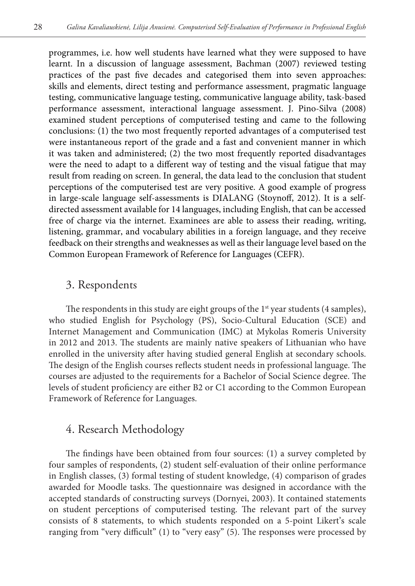programmes, i.e. how well students have learned what they were supposed to have learnt. In a discussion of language assessment, Bachman (2007) reviewed testing practices of the past five decades and categorised them into seven approaches: skills and elements, direct testing and performance assessment, pragmatic language testing, communicative language testing, communicative language ability, task-based performance assessment, interactional language assessment. J. Pino-Silva (2008) examined student perceptions of computerised testing and came to the following conclusions: (1) the two most frequently reported advantages of a computerised test were instantaneous report of the grade and a fast and convenient manner in which it was taken and administered; (2) the two most frequently reported disadvantages were the need to adapt to a different way of testing and the visual fatigue that may result from reading on screen. In general, the data lead to the conclusion that student perceptions of the computerised test are very positive. A good example of progress in large-scale language self-assessments is DIALANG (Stoynoff, 2012). It is a selfdirected assessment available for 14 languages, including English, that can be accessed free of charge via the internet. Examinees are able to assess their reading, writing, listening, grammar, and vocabulary abilities in a foreign language, and they receive feedback on their strengths and weaknesses as well as their language level based on the Common European Framework of Reference for Languages (CEFR).

#### 3. Respondents

The respondents in this study are eight groups of the  $1<sup>st</sup>$  year students (4 samples), who studied English for Psychology (PS), Socio-Cultural Education (SCE) and Internet Management and Communication (IMC) at Mykolas Romeris University in 2012 and 2013. The students are mainly native speakers of Lithuanian who have enrolled in the university after having studied general English at secondary schools. The design of the English courses reflects student needs in professional language. The courses are adjusted to the requirements for a Bachelor of Social Science degree. The levels of student proficiency are either B2 or C1 according to the Common European Framework of Reference for Languages.

#### 4. Research Methodology

The findings have been obtained from four sources: (1) a survey completed by four samples of respondents, (2) student self-evaluation of their online performance in English classes, (3) formal testing of student knowledge, (4) comparison of grades awarded for Moodle tasks. The questionnaire was designed in accordance with the accepted standards of constructing surveys (Dornyei, 2003). It contained statements on student perceptions of computerised testing. The relevant part of the survey consists of 8 statements, to which students responded on a 5-point Likert's scale ranging from "very difficult" (1) to "very easy" (5). The responses were processed by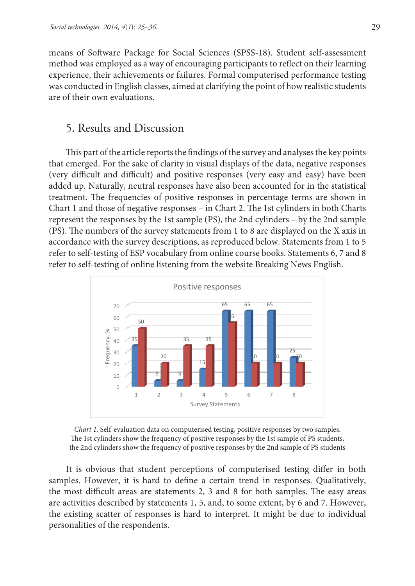means of Software Package for Social Sciences (SPSS-18). Student self-assessment method was employed as a way of encouraging participants to reflect on their learning experience, their achievements or failures. Formal computerised performance testing was conducted in English classes, aimed at clarifying the point of how realistic students are of their own evaluations.

### 5. Results and Discussion

This part of the article reports the findings of the survey and analyses the key points that emerged. For the sake of clarity in visual displays of the data, negative responses (very difficult and difficult) and positive responses (very easy and easy) have been added up. Naturally, neutral responses have also been accounted for in the statistical treatment. The frequencies of positive responses in percentage terms are shown in Chart 1 and those of negative responses – in Chart 2. The 1st cylinders in both Charts represent the responses by the 1st sample (PS), the 2nd cylinders – by the 2nd sample (PS). The numbers of the survey statements from 1 to 8 are displayed on the X axis in accordance with the survey descriptions, as reproduced below. Statements from 1 to 5 refer to self-testing of ESP vocabulary from online course books. Statements 6, 7 and 8 refer to self-testing of online listening from the website Breaking News English.



*Chart 1.* Self-evaluation data on computerised testing, positive responses by two samples. The 1st cylinders show the frequency of positive responses by the 1st sample of PS students, the 2nd cylinders show the frequency of positive responses by the 2nd sample of PS students

It is obvious that student perceptions of computerised testing differ in both samples. However, it is hard to define a certain trend in responses. Qualitatively, the most difficult areas are statements 2, 3 and 8 for both samples. The easy areas are activities described by statements 1, 5, and, to some extent, by 6 and 7. However, the existing scatter of responses is hard to interpret. It might be due to individual personalities of the respondents.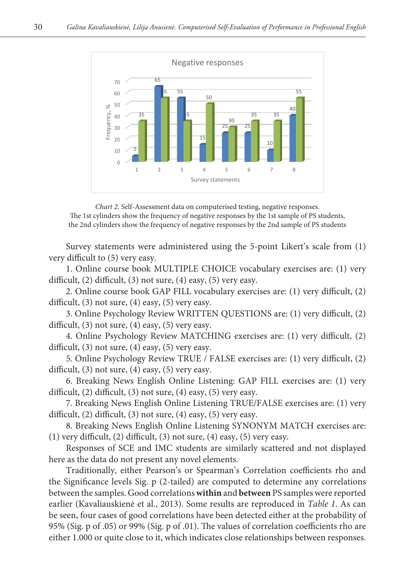

*Chart 2.* Self-Assessment data on computerised testing, negative responses. The 1st cylinders show the frequency of negative responses by the 1st sample of PS students, the 2nd cylinders show the frequency of negative responses by the 2nd sample of PS students

Survey statements were administered using the 5-point Likert's scale from (1) very difficult to (5) very easy.

1. Online course book MULTIPLE CHOICE vocabulary exercises are: (1) very difficult, (2) difficult, (3) not sure, (4) easy, (5) very easy.

2. Online course book GAP FILL vocabulary exercises are: (1) very difficult, (2) difficult,  $(3)$  not sure,  $(4)$  easy,  $(5)$  very easy.

3. Online Psychology Review WRITTEN QUESTIONS are: (1) very difficult, (2) difficult, (3) not sure, (4) easy, (5) very easy.

4. Online Psychology Review MATCHING exercises are: (1) very difficult, (2) difficult, (3) not sure, (4) easy, (5) very easy.

5. Online Psychology Review TRUE / FALSE exercises are: (1) very difficult, (2) difficult,  $(3)$  not sure,  $(4)$  easy,  $(5)$  very easy.

6. Breaking News English Online Listening: GAP FILL exercises are: (1) very difficult, (2) difficult, (3) not sure, (4) easy, (5) very easy.

7. Breaking News English Online Listening TRUE/FALSE exercises are: (1) very difficult, (2) difficult, (3) not sure, (4) easy, (5) very easy.

8. Breaking News English Online Listening SYNONYM MATCH exercises are: (1) very difficult, (2) difficult, (3) not sure, (4) easy, (5) very easy.

Responses of SCE and IMC students are similarly scattered and not displayed here as the data do not present any novel elements.

Traditionally, either Pearson's or Spearman's Correlation coefficients rho and the Significance levels Sig. p (2-tailed) are computed to determine any correlations between the samples. Good correlations **within** and **between** PS samples were reported earlier (Kavaliauskienė et al., 2013). Some results are reproduced in *Table 1*. As can be seen, four cases of good correlations have been detected either at the probability of 95% (Sig. p of .05) or 99% (Sig. p of .01). The values of correlation coefficients rho are either 1.000 or quite close to it, which indicates close relationships between responses.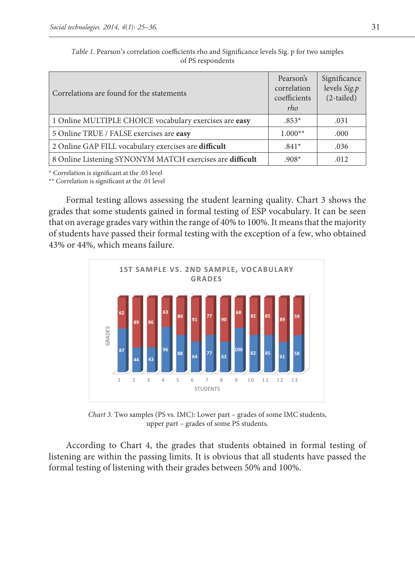| Correlations are found for the statements                | Pearson's<br>correlation<br>coefficients<br>rho | Significance<br>levels Sig.p<br>$(2-tailed)$ |
|----------------------------------------------------------|-------------------------------------------------|----------------------------------------------|
| 1 Online MULTIPLE CHOICE vocabulary exercises are easy   | $.853*$                                         | .031                                         |
| 5 Online TRUE / FALSE exercises are easy                 | $1.000**$                                       | .000                                         |
| 2 Online GAP FILL vocabulary exercises are difficult     | $.841*$                                         | .036                                         |
| 8 Online Listening SYNONYM MATCH exercises are difficult | $.908*$                                         | .012                                         |

*Table 1*. Pearson's correlation coefficients rho and Significance levels Sig. p for two samples of PS respondents

\* Correlation is significant at the .05 level

\*\* Correlation is significant at the .01 level

Formal testing allows assessing the student learning quality. Chart 3 shows the grades that some students gained in formal testing of ESP vocabulary. It can be seen that on average grades vary within the range of 40% to 100%. It means that the majority of students have passed their formal testing with the exception of a few, who obtained 43% or 44%, which means failure.



*Chart 3.* Two samples (PS vs. IMC): Lower part – grades of some IMC students, upper part – grades of some PS students.

According to Chart 4, the grades that students obtained in formal testing of listening are within the passing limits. It is obvious that all students have passed the formal testing of listening with their grades between 50% and 100%.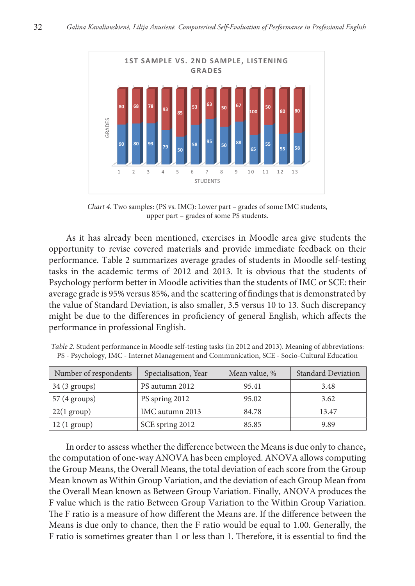

*Chart 4.* Two samples: (PS vs. IMC): Lower part – grades of some IMC students, upper part – grades of some PS students.

As it has already been mentioned, exercises in Moodle area give students the opportunity to revise covered materials and provide immediate feedback on their performance. Table 2 summarizes average grades of students in Moodle self-testing tasks in the academic terms of 2012 and 2013. It is obvious that the students of Psychology perform better in Moodle activities than the students of IMC or SCE: their average grade is 95% versus 85%, and the scattering of findings that is demonstrated by the value of Standard Deviation, is also smaller, 3.5 versus 10 to 13. Such discrepancy might be due to the differences in proficiency of general English, which affects the performance in professional English.

| Number of respondents  | Specialisation, Year | Mean value, % | <b>Standard Deviation</b> |
|------------------------|----------------------|---------------|---------------------------|
| $34(3 \text{ groups})$ | PS autumn 2012       | 95.41         | 3.48                      |
| 57 (4 groups)          | PS spring 2012       | 95.02         | 3.62                      |
| $22(1 \text{ group})$  | IMC autumn 2013      | 84.78         | 13.47                     |
| $12(1 \text{ group})$  | SCE spring 2012      | 85.85         | 9.89                      |

*Table 2.* Student performance in Moodle self-testing tasks (in 2012 and 2013). Meaning of abbreviations: PS - Psychology, IMC - Internet Management and Communication, SCE - Socio-Cultural Education

In order to assess whether the difference between the Means is due only to chance, the computation of one-way ANOVA has been employed. ANOVA allows computing the Group Means, the Overall Means, the total deviation of each score from the Group Mean known as Within Group Variation, and the deviation of each Group Mean from the Overall Mean known as Between Group Variation. Finally, ANOVA produces the F value which is the ratio Between Group Variation to the Within Group Variation. The F ratio is a measure of how different the Means are. If the difference between the Means is due only to chance, then the F ratio would be equal to 1.00. Generally, the F ratio is sometimes greater than 1 or less than 1. Therefore, it is essential to find the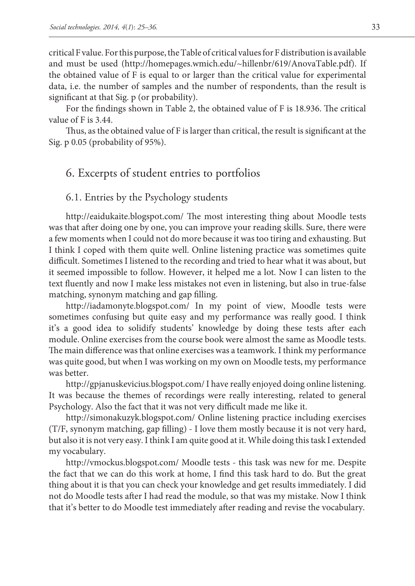critical F value. For this purpose, the Table of critical values for F distribution is available and must be used (<http://homepages.wmich.edu/~hillenbr/619/AnovaTable.pdf>). If the obtained value of F is equal to or larger than the critical value for experimental data, i.e. the number of samples and the number of respondents, than the result is significant at that Sig. p (or probability).

For the findings shown in Table 2, the obtained value of F is 18.936. The critical value of F is 3.44.

Thus, as the obtained value of F is larger than critical, the result is significant at the Sig. p 0.05 (probability of 95%).

### 6. Excerpts of student entries to portfolios

#### 6.1. Entries by the Psychology students

<http://eaidukaite.blogspot.com/> The most interesting thing about Moodle tests was that after doing one by one, you can improve your reading skills. Sure, there were a few moments when I could not do more because it was too tiring and exhausting. But I think I coped with them quite well. Online listening practice was sometimes quite difficult. Sometimes I listened to the recording and tried to hear what it was about, but it seemed impossible to follow. However, it helped me a lot. Now I can listen to the text fluently and now I make less mistakes not even in listening, but also in true-false matching, synonym matching and gap filling.

<http://iadamonyte.blogspot.com/>In my point of view, Moodle tests were sometimes confusing but quite easy and my performance was really good. I think it's a good idea to solidify students' knowledge by doing these tests after each module. Online exercises from the course book were almost the same as Moodle tests. The main difference was that online exercises was a teamwork. I think my performance was quite good, but when I was working on my own on Moodle tests, my performance was better.

<http://gpjanuskevicius.blogspot.com/>I have really enjoyed doing online listening. It was because the themes of recordings were really interesting, related to general Psychology. Also the fact that it was not very difficult made me like it.

<http://simonakuzyk.blogspot.com/>Online listening practice including exercises (T/F, synonym matching, gap filling) - I love them mostly because it is not very hard, but also it is not very easy. I think I am quite good at it. While doing this task I extended my vocabulary.

<http://vmockus.blogspot.com/>Moodle tests - this task was new for me. Despite the fact that we can do this work at home, I find this task hard to do. But the great thing about it is that you can check your knowledge and get results immediately. I did not do Moodle tests after I had read the module, so that was my mistake. Now I think that it's better to do Moodle test immediately after reading and revise the vocabulary.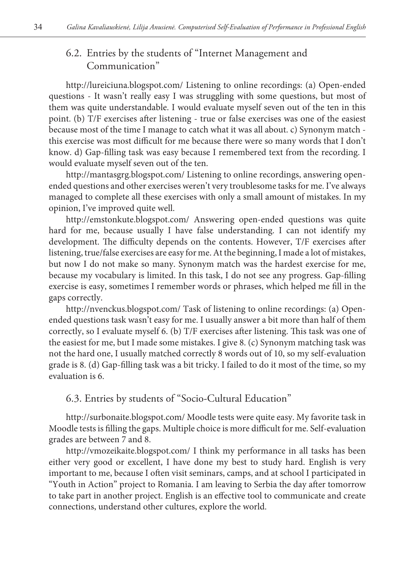## 6.2. Entries by the students of "Internet Management and Communication"

<http://lureiciuna.blogspot.com/>Listening to online recordings: (a) Open-ended questions - It wasn't really easy I was struggling with some questions, but most of them was quite understandable. I would evaluate myself seven out of the ten in this point. (b) T/F exercises after listening - true or false exercises was one of the easiest because most of the time I manage to catch what it was all about. c) Synonym match this exercise was most difficult for me because there were so many words that I don't know. d) Gap-filling task was easy because I remembered text from the recording. I would evaluate myself seven out of the ten.

<http://mantasgrg.blogspot.com/> Listening to online recordings, answering openended questions and other exercises weren't very troublesome tasks for me. I've always managed to complete all these exercises with only a small amount of mistakes. In my opinion, I've improved quite well.

<http://emstonkute.blogspot.com/>Answering open-ended questions was quite hard for me, because usually I have false understanding. I can not identify my development. The difficulty depends on the contents. However, T/F exercises after listening, true/false exercises are easy for me. At the beginning, I made a lot of mistakes, but now I do not make so many. Synonym match was the hardest exercise for me, because my vocabulary is limited. In this task, I do not see any progress. Gap-filling exercise is easy, sometimes I remember words or phrases, which helped me fill in the gaps correctly.

<http://nvenckus.blogspot.com/>Task of listening to online recordings: (a) Openended questions task wasn't easy for me. I usually answer a bit more than half of them correctly, so I evaluate myself 6. (b) T/F exercises after listening. This task was one of the easiest for me, but I made some mistakes. I give 8. (c) Synonym matching task was not the hard one, I usually matched correctly 8 words out of 10, so my self-evaluation grade is 8. (d) Gap-filling task was a bit tricky. I failed to do it most of the time, so my evaluation is 6.

6.3. Entries by students of "Socio-Cultural Education"

<http://surbonaite.blogspot.com/>Moodle tests were quite easy. My favorite task in Moodle tests is filling the gaps. Multiple choice is more difficult for me. Self-evaluation grades are between 7 and 8.

<http://vmozeikaite.blogspot.com/> I think my performance in all tasks has been either very good or excellent, I have done my best to study hard. English is very important to me, because I often visit seminars, camps, and at school I participated in "Youth in Action" project to Romania. I am leaving to Serbia the day after tomorrow to take part in another project. English is an effective tool to communicate and create connections, understand other cultures, explore the world.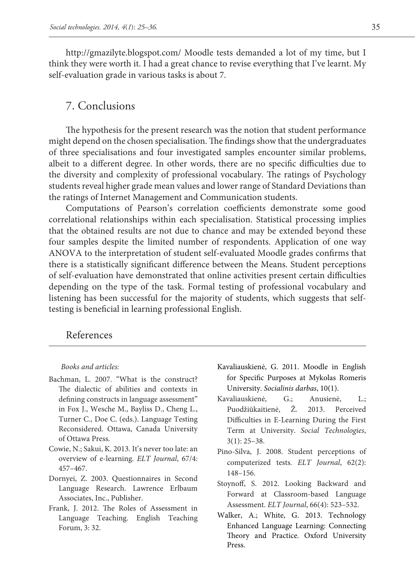<http://gmazilyte.blogspot.com/> Moodle tests demanded a lot of my time, but I think they were worth it. I had a great chance to revise everything that I've learnt. My self-evaluation grade in various tasks is about 7.

#### 7. Conclusions

The hypothesis for the present research was the notion that student performance might depend on the chosen specialisation. The findings show that the undergraduates of three specialisations and four investigated samples encounter similar problems, albeit to a different degree. In other words, there are no specific difficulties due to the diversity and complexity of professional vocabulary. The ratings of Psychology students reveal higher grade mean values and lower range of Standard Deviations than the ratings of Internet Management and Communication students.

Computations of Pearson's correlation coefficients demonstrate some good correlational relationships within each specialisation. Statistical processing implies that the obtained results are not due to chance and may be extended beyond these four samples despite the limited number of respondents. Application of one way ANOVA to the interpretation of student self-evaluated Moodle grades confirms that there is a statistically significant difference between the Means. Student perceptions of self-evaluation have demonstrated that online activities present certain difficulties depending on the type of the task. Formal testing of professional vocabulary and listening has been successful for the majority of students, which suggests that selftesting is beneficial in learning professional English.

#### References

#### *Books and articles:*

- Bachman, L. 2007. "What is the construct? The dialectic of abilities and contexts in defining constructs in language assessment" in Fox J., Wesche M., Bayliss D., Cheng L., Turner C., Doe C. (eds.). Language Testing Reconsidered. Ottawa, Canada University of Ottawa Press.
- Cowie, N.; Sakui, K. 2013. It's never too late: an overview of e-learning. *ELT Journal*, 67/4: 457–467.
- Dornyei, Z. 2003. Questionnaires in Second Language Research. Lawrence Erlbaum Associates, Inc., Publisher.
- Frank, J. 2012. The Roles of Assessment in Language Teaching. English Teaching Forum, 3: 32.
- Kavaliauskienė, G. 2011. Moodle in English for Specific Purposes at Mykolas Romeris University. *Socialinis darbas*, 10(1).
- Kavaliauskienė, G.; Anusienė, L.; Puodžiūkaitienė, Ž. 2013. Perceived Difficulties in E-Learning During the First Term at University. *Social Technologies*, 3(1): 25–38.
- Pino-Silva, J. 2008. Student perceptions of computerized tests. *ELT Journal*, 62(2): 148–156.
- Stoynoff, S. 2012. Looking Backward and Forward at Classroom-based Language Assessment. *ELT Journal*, 66(4): 523–532.
- Walker, A.; White, G. 2013. Technology Enhanced Language Learning: Connecting Theory and Practice. Oxford University Press.